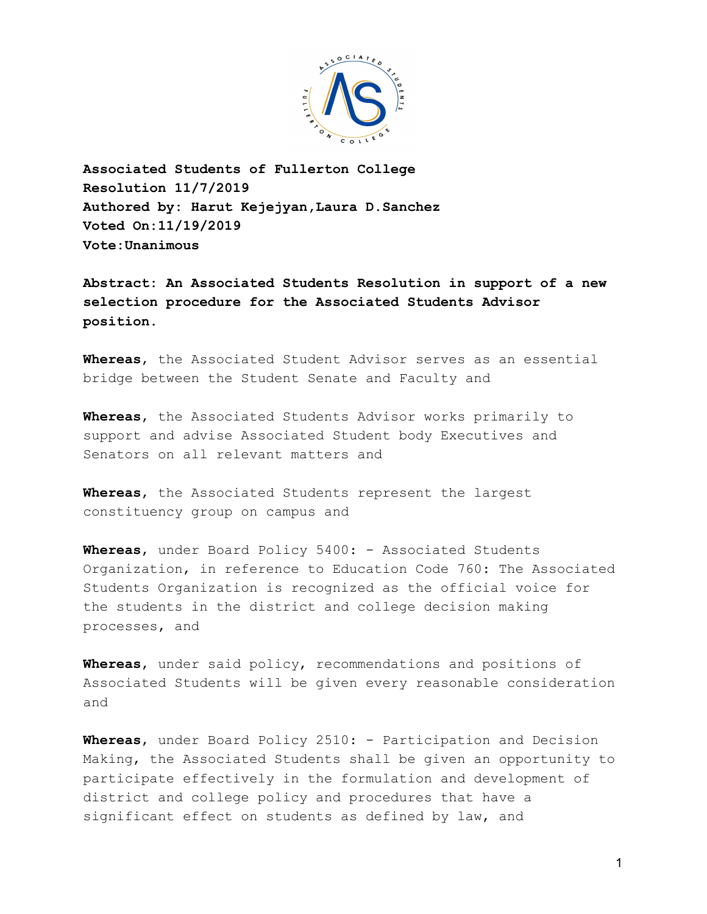

**Associated Students of Fullerton College Resolution 11/7/2019 Authored by: Harut Kejejyan,Laura D.Sanchez Voted On:11/19/2019 Vote:Unanimous**

**Abstract: An Associated Students Resolution in support of a new selection procedure for the Associated Students Advisor position.**

**Whereas**, the Associated Student Advisor serves as an essential bridge between the Student Senate and Faculty and

**Whereas**, the Associated Students Advisor works primarily to support and advise Associated Student body Executives and Senators on all relevant matters and

**Whereas**, the Associated Students represent the largest constituency group on campus and

**Whereas**, under Board Policy 5400: - Associated Students Organization, in reference to Education Code 760: The Associated Students Organization is recognized as the official voice for the students in the district and college decision making processes, and

**Whereas**, under said policy, recommendations and positions of Associated Students will be given every reasonable consideration and

**Whereas**, under Board Policy 2510: - Participation and Decision Making, the Associated Students shall be given an opportunity to participate effectively in the formulation and development of district and college policy and procedures that have a significant effect on students as defined by law, and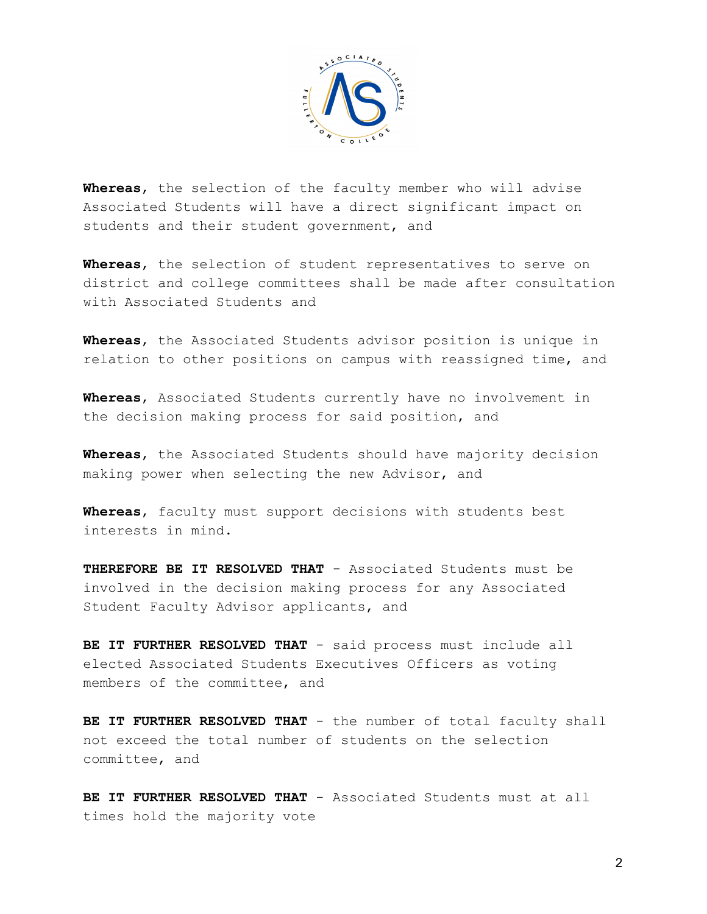

**Whereas**, the selection of the faculty member who will advise Associated Students will have a direct significant impact on students and their student government, and

**Whereas**, the selection of student representatives to serve on district and college committees shall be made after consultation with Associated Students and

**Whereas**, the Associated Students advisor position is unique in relation to other positions on campus with reassigned time, and

**Whereas**, Associated Students currently have no involvement in the decision making process for said position, and

**Whereas**, the Associated Students should have majority decision making power when selecting the new Advisor, and

**Whereas**, faculty must support decisions with students best interests in mind.

**THEREFORE BE IT RESOLVED THAT** - Associated Students must be involved in the decision making process for any Associated Student Faculty Advisor applicants, and

BE IT FURTHER RESOLVED THAT - said process must include all elected Associated Students Executives Officers as voting members of the committee, and

**BE IT FURTHER RESOLVED THAT** - the number of total faculty shall not exceed the total number of students on the selection committee, and

**BE IT FURTHER RESOLVED THAT** - Associated Students must at all times hold the majority vote